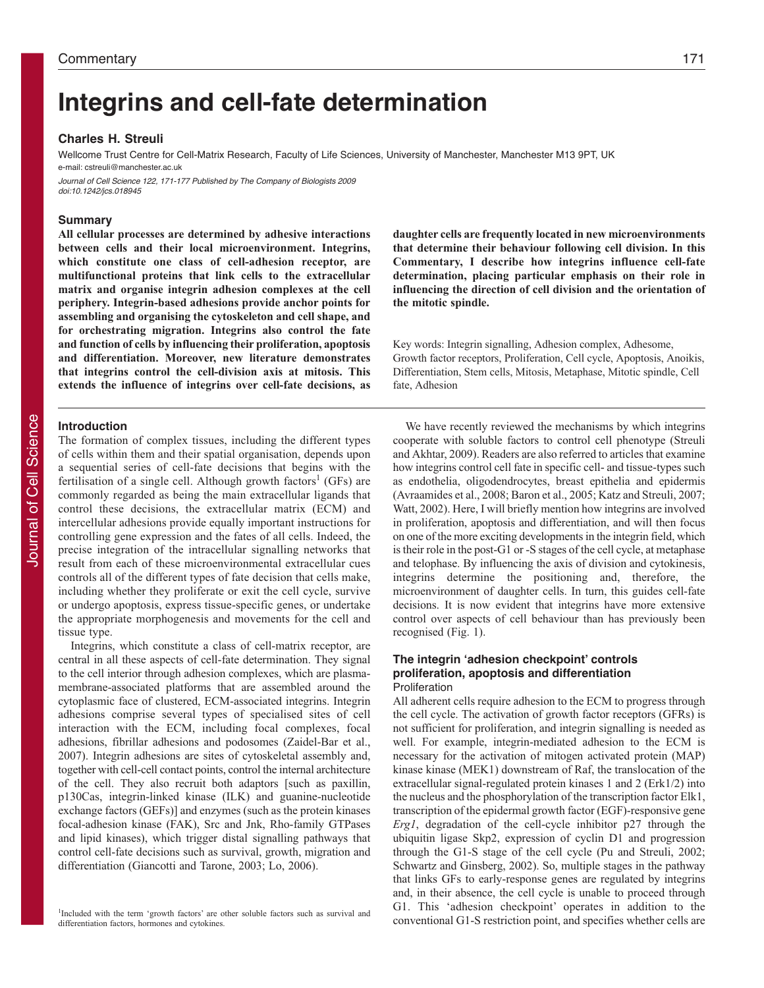# **Integrins and cell-fate determination**

#### **Charles H. Streuli**

Wellcome Trust Centre for Cell-Matrix Research, Faculty of Life Sciences, University of Manchester, Manchester M13 9PT, UK e-mail: cstreuli@manchester.ac.uk

Journal of Cell Science 122, 171-177 Published by The Company of Biologists 2009 doi:10.1242/jcs.018945

# **Summary**

**All cellular processes are determined by adhesive interactions between cells and their local microenvironment. Integrins, which constitute one class of cell-adhesion receptor, are multifunctional proteins that link cells to the extracellular matrix and organise integrin adhesion complexes at the cell periphery. Integrin-based adhesions provide anchor points for assembling and organising the cytoskeleton and cell shape, and for orchestrating migration. Integrins also control the fate and function of cells by influencing their proliferation, apoptosis and differentiation. Moreover, new literature demonstrates that integrins control the cell-division axis at mitosis. This extends the influence of integrins over cell-fate decisions, as**

### **Introduction**

The formation of complex tissues, including the different types of cells within them and their spatial organisation, depends upon a sequential series of cell-fate decisions that begins with the fertilisation of a single cell. Although growth factors<sup>1</sup> (GFs) are commonly regarded as being the main extracellular ligands that control these decisions, the extracellular matrix (ECM) and intercellular adhesions provide equally important instructions for controlling gene expression and the fates of all cells. Indeed, the precise integration of the intracellular signalling networks that result from each of these microenvironmental extracellular cues controls all of the different types of fate decision that cells make, including whether they proliferate or exit the cell cycle, survive or undergo apoptosis, express tissue-specific genes, or undertake the appropriate morphogenesis and movements for the cell and tissue type.

Integrins, which constitute a class of cell-matrix receptor, are central in all these aspects of cell-fate determination. They signal to the cell interior through adhesion complexes, which are plasmamembrane-associated platforms that are assembled around the cytoplasmic face of clustered, ECM-associated integrins. Integrin adhesions comprise several types of specialised sites of cell interaction with the ECM, including focal complexes, focal adhesions, fibrillar adhesions and podosomes (Zaidel-Bar et al., 2007). Integrin adhesions are sites of cytoskeletal assembly and, together with cell-cell contact points, control the internal architecture of the cell. They also recruit both adaptors [such as paxillin, p130Cas, integrin-linked kinase (ILK) and guanine-nucleotide exchange factors (GEFs)] and enzymes (such as the protein kinases focal-adhesion kinase (FAK), Src and Jnk, Rho-family GTPases and lipid kinases), which trigger distal signalling pathways that control cell-fate decisions such as survival, growth, migration and differentiation (Giancotti and Tarone, 2003; Lo, 2006).

<sup>1</sup>Included with the term 'growth factors' are other soluble factors such as survival and differentiation factors, hormones and cytokines.

**daughter cells are frequently located in new microenvironments that determine their behaviour following cell division. In this Commentary, I describe how integrins influence cell-fate determination, placing particular emphasis on their role in influencing the direction of cell division and the orientation of the mitotic spindle.**

Key words: Integrin signalling, Adhesion complex, Adhesome, Growth factor receptors, Proliferation, Cell cycle, Apoptosis, Anoikis, Differentiation, Stem cells, Mitosis, Metaphase, Mitotic spindle, Cell fate, Adhesion

We have recently reviewed the mechanisms by which integrins cooperate with soluble factors to control cell phenotype (Streuli and Akhtar, 2009). Readers are also referred to articles that examine how integrins control cell fate in specific cell- and tissue-types such as endothelia, oligodendrocytes, breast epithelia and epidermis (Avraamides et al., 2008; Baron et al., 2005; Katz and Streuli, 2007; Watt, 2002). Here, I will briefly mention how integrins are involved in proliferation, apoptosis and differentiation, and will then focus on one of the more exciting developments in the integrin field, which is their role in the post-G1 or -S stages of the cell cycle, at metaphase and telophase. By influencing the axis of division and cytokinesis, integrins determine the positioning and, therefore, the microenvironment of daughter cells. In turn, this guides cell-fate decisions. It is now evident that integrins have more extensive control over aspects of cell behaviour than has previously been recognised (Fig. 1).

# **The integrin ʻadhesion checkpoint' controls proliferation, apoptosis and differentiation** Proliferation

All adherent cells require adhesion to the ECM to progress through the cell cycle. The activation of growth factor receptors (GFRs) is not sufficient for proliferation, and integrin signalling is needed as well. For example, integrin-mediated adhesion to the ECM is necessary for the activation of mitogen activated protein (MAP) kinase kinase (MEK1) downstream of Raf, the translocation of the extracellular signal-regulated protein kinases 1 and 2 (Erk1/2) into the nucleus and the phosphorylation of the transcription factor Elk1, transcription of the epidermal growth factor (EGF)-responsive gene *Erg1*, degradation of the cell-cycle inhibitor p27 through the ubiquitin ligase Skp2, expression of cyclin D1 and progression through the G1-S stage of the cell cycle (Pu and Streuli, 2002; Schwartz and Ginsberg, 2002). So, multiple stages in the pathway that links GFs to early-response genes are regulated by integrins and, in their absence, the cell cycle is unable to proceed through G1. This 'adhesion checkpoint' operates in addition to the conventional G1-S restriction point, and specifies whether cells are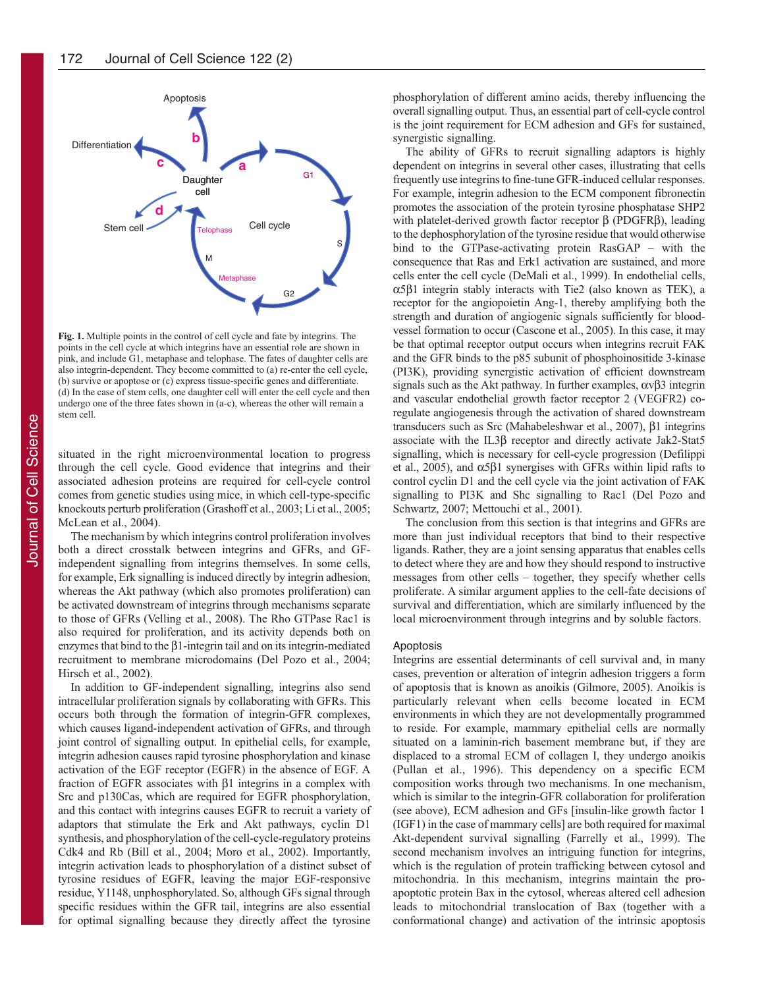

**Fig. 1.** Multiple points in the control of cell cycle and fate by integrins. The points in the cell cycle at which integrins have an essential role are shown in pink, and include G1, metaphase and telophase. The fates of daughter cells are also integrin-dependent. They become committed to (a) re-enter the cell cycle, (b) survive or apoptose or (c) express tissue-specific genes and differentiate. (d) In the case of stem cells, one daughter cell will enter the cell cycle and then undergo one of the three fates shown in (a-c), whereas the other will remain a stem cell.

situated in the right microenvironmental location to progress through the cell cycle. Good evidence that integrins and their associated adhesion proteins are required for cell-cycle control comes from genetic studies using mice, in which cell-type-specific knockouts perturb proliferation (Grashoff et al., 2003; Li et al., 2005; McLean et al., 2004).

The mechanism by which integrins control proliferation involves both a direct crosstalk between integrins and GFRs, and GFindependent signalling from integrins themselves. In some cells, for example, Erk signalling is induced directly by integrin adhesion, whereas the Akt pathway (which also promotes proliferation) can be activated downstream of integrins through mechanisms separate to those of GFRs (Velling et al., 2008). The Rho GTPase Rac1 is also required for proliferation, and its activity depends both on enzymes that bind to the  $\beta$ 1-integrin tail and on its integrin-mediated recruitment to membrane microdomains (Del Pozo et al., 2004; Hirsch et al., 2002).

In addition to GF-independent signalling, integrins also send intracellular proliferation signals by collaborating with GFRs. This occurs both through the formation of integrin-GFR complexes, which causes ligand-independent activation of GFRs, and through joint control of signalling output. In epithelial cells, for example, integrin adhesion causes rapid tyrosine phosphorylation and kinase activation of the EGF receptor (EGFR) in the absence of EGF. A fraction of EGFR associates with β1 integrins in a complex with Src and p130Cas, which are required for EGFR phosphorylation, and this contact with integrins causes EGFR to recruit a variety of adaptors that stimulate the Erk and Akt pathways, cyclin D1 synthesis, and phosphorylation of the cell-cycle-regulatory proteins Cdk4 and Rb (Bill et al., 2004; Moro et al., 2002). Importantly, integrin activation leads to phosphorylation of a distinct subset of tyrosine residues of EGFR, leaving the major EGF-responsive residue, Y1148, unphosphorylated. So, although GFs signal through specific residues within the GFR tail, integrins are also essential for optimal signalling because they directly affect the tyrosine

phosphorylation of different amino acids, thereby influencing the overall signalling output. Thus, an essential part of cell-cycle control is the joint requirement for ECM adhesion and GFs for sustained, synergistic signalling.

The ability of GFRs to recruit signalling adaptors is highly dependent on integrins in several other cases, illustrating that cells frequently use integrins to fine-tune GFR-induced cellular responses. For example, integrin adhesion to the ECM component fibronectin promotes the association of the protein tyrosine phosphatase SHP2 with platelet-derived growth factor receptor β (PDGFRβ), leading to the dephosphorylation of the tyrosine residue that would otherwise bind to the GTPase-activating protein RasGAP – with the consequence that Ras and Erk1 activation are sustained, and more cells enter the cell cycle (DeMali et al., 1999). In endothelial cells, α5β1 integrin stably interacts with Tie2 (also known as TEK), a receptor for the angiopoietin Ang-1, thereby amplifying both the strength and duration of angiogenic signals sufficiently for bloodvessel formation to occur (Cascone et al., 2005). In this case, it may be that optimal receptor output occurs when integrins recruit FAK and the GFR binds to the p85 subunit of phosphoinositide 3-kinase (PI3K), providing synergistic activation of efficient downstream signals such as the Akt pathway. In further examples,  $\alpha \beta$ 3 integrin and vascular endothelial growth factor receptor 2 (VEGFR2) coregulate angiogenesis through the activation of shared downstream transducers such as Src (Mahabeleshwar et al., 2007), β1 integrins associate with the IL3β receptor and directly activate Jak2-Stat5 signalling, which is necessary for cell-cycle progression (Defilippi et al., 2005), and  $\alpha$ 5β1 synergises with GFRs within lipid rafts to control cyclin D1 and the cell cycle via the joint activation of FAK signalling to PI3K and Shc signalling to Rac1 (Del Pozo and Schwartz, 2007; Mettouchi et al., 2001).

The conclusion from this section is that integrins and GFRs are more than just individual receptors that bind to their respective ligands. Rather, they are a joint sensing apparatus that enables cells to detect where they are and how they should respond to instructive messages from other cells – together, they specify whether cells proliferate. A similar argument applies to the cell-fate decisions of survival and differentiation, which are similarly influenced by the local microenvironment through integrins and by soluble factors.

#### Apoptosis

Integrins are essential determinants of cell survival and, in many cases, prevention or alteration of integrin adhesion triggers a form of apoptosis that is known as anoikis (Gilmore, 2005). Anoikis is particularly relevant when cells become located in ECM environments in which they are not developmentally programmed to reside. For example, mammary epithelial cells are normally situated on a laminin-rich basement membrane but, if they are displaced to a stromal ECM of collagen I, they undergo anoikis (Pullan et al., 1996). This dependency on a specific ECM composition works through two mechanisms. In one mechanism, which is similar to the integrin-GFR collaboration for proliferation (see above), ECM adhesion and GFs [insulin-like growth factor 1 (IGF1) in the case of mammary cells] are both required for maximal Akt-dependent survival signalling (Farrelly et al., 1999). The second mechanism involves an intriguing function for integrins, which is the regulation of protein trafficking between cytosol and mitochondria. In this mechanism, integrins maintain the proapoptotic protein Bax in the cytosol, whereas altered cell adhesion leads to mitochondrial translocation of Bax (together with a conformational change) and activation of the intrinsic apoptosis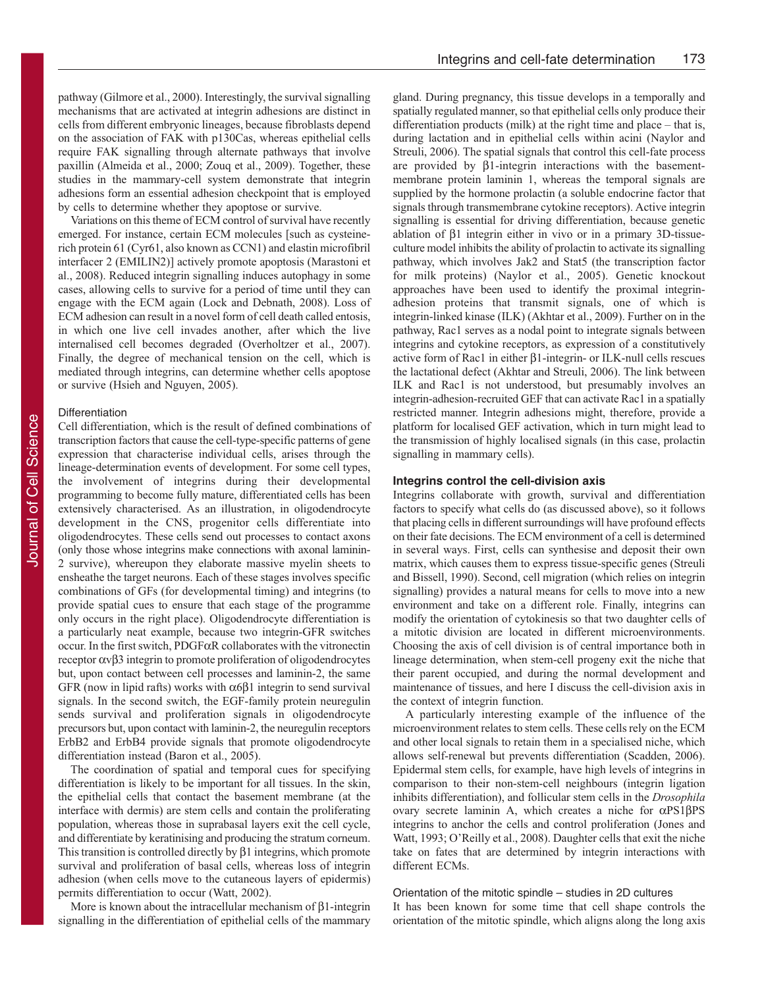pathway (Gilmore et al., 2000). Interestingly, the survival signalling mechanisms that are activated at integrin adhesions are distinct in cells from different embryonic lineages, because fibroblasts depend on the association of FAK with p130Cas, whereas epithelial cells require FAK signalling through alternate pathways that involve paxillin (Almeida et al., 2000; Zouq et al., 2009). Together, these studies in the mammary-cell system demonstrate that integrin adhesions form an essential adhesion checkpoint that is employed by cells to determine whether they apoptose or survive.

Variations on this theme of ECM control of survival have recently emerged. For instance, certain ECM molecules [such as cysteinerich protein 61 (Cyr61, also known as CCN1) and elastin microfibril interfacer 2 (EMILIN2)] actively promote apoptosis (Marastoni et al., 2008). Reduced integrin signalling induces autophagy in some cases, allowing cells to survive for a period of time until they can engage with the ECM again (Lock and Debnath, 2008). Loss of ECM adhesion can result in a novel form of cell death called entosis, in which one live cell invades another, after which the live internalised cell becomes degraded (Overholtzer et al., 2007). Finally, the degree of mechanical tension on the cell, which is mediated through integrins, can determine whether cells apoptose or survive (Hsieh and Nguyen, 2005).

# Differentiation

Cell differentiation, which is the result of defined combinations of transcription factors that cause the cell-type-specific patterns of gene expression that characterise individual cells, arises through the lineage-determination events of development. For some cell types, the involvement of integrins during their developmental programming to become fully mature, differentiated cells has been extensively characterised. As an illustration, in oligodendrocyte development in the CNS, progenitor cells differentiate into oligodendrocytes. These cells send out processes to contact axons (only those whose integrins make connections with axonal laminin-2 survive), whereupon they elaborate massive myelin sheets to ensheathe the target neurons. Each of these stages involves specific combinations of GFs (for developmental timing) and integrins (to provide spatial cues to ensure that each stage of the programme only occurs in the right place). Oligodendrocyte differentiation is a particularly neat example, because two integrin-GFR switches occur. In the first switch, PDGFαR collaborates with the vitronectin receptor αvβ3 integrin to promote proliferation of oligodendrocytes but, upon contact between cell processes and laminin-2, the same GFR (now in lipid rafts) works with  $\alpha$ 6 $\beta$ 1 integrin to send survival signals. In the second switch, the EGF-family protein neuregulin sends survival and proliferation signals in oligodendrocyte precursors but, upon contact with laminin-2, the neuregulin receptors ErbB2 and ErbB4 provide signals that promote oligodendrocyte differentiation instead (Baron et al., 2005).

The coordination of spatial and temporal cues for specifying differentiation is likely to be important for all tissues. In the skin, the epithelial cells that contact the basement membrane (at the interface with dermis) are stem cells and contain the proliferating population, whereas those in suprabasal layers exit the cell cycle, and differentiate by keratinising and producing the stratum corneum. This transition is controlled directly by  $\beta$ 1 integrins, which promote survival and proliferation of basal cells, whereas loss of integrin adhesion (when cells move to the cutaneous layers of epidermis) permits differentiation to occur (Watt, 2002).

More is known about the intracellular mechanism of  $\beta$ 1-integrin signalling in the differentiation of epithelial cells of the mammary gland. During pregnancy, this tissue develops in a temporally and spatially regulated manner, so that epithelial cells only produce their differentiation products (milk) at the right time and place – that is, during lactation and in epithelial cells within acini (Naylor and Streuli, 2006). The spatial signals that control this cell-fate process are provided by β1-integrin interactions with the basementmembrane protein laminin 1, whereas the temporal signals are supplied by the hormone prolactin (a soluble endocrine factor that signals through transmembrane cytokine receptors). Active integrin signalling is essential for driving differentiation, because genetic ablation of β1 integrin either in vivo or in a primary 3D-tissueculture model inhibits the ability of prolactin to activate its signalling pathway, which involves Jak2 and Stat5 (the transcription factor for milk proteins) (Naylor et al., 2005). Genetic knockout approaches have been used to identify the proximal integrinadhesion proteins that transmit signals, one of which is integrin-linked kinase (ILK) (Akhtar et al., 2009). Further on in the pathway, Rac1 serves as a nodal point to integrate signals between integrins and cytokine receptors, as expression of a constitutively active form of Rac1 in either β1-integrin- or ILK-null cells rescues the lactational defect (Akhtar and Streuli, 2006). The link between ILK and Rac1 is not understood, but presumably involves an integrin-adhesion-recruited GEF that can activate Rac1 in a spatially restricted manner. Integrin adhesions might, therefore, provide a platform for localised GEF activation, which in turn might lead to the transmission of highly localised signals (in this case, prolactin signalling in mammary cells).

### **Integrins control the cell-division axis**

Integrins collaborate with growth, survival and differentiation factors to specify what cells do (as discussed above), so it follows that placing cells in different surroundings will have profound effects on their fate decisions. The ECM environment of a cell is determined in several ways. First, cells can synthesise and deposit their own matrix, which causes them to express tissue-specific genes (Streuli and Bissell, 1990). Second, cell migration (which relies on integrin signalling) provides a natural means for cells to move into a new environment and take on a different role. Finally, integrins can modify the orientation of cytokinesis so that two daughter cells of a mitotic division are located in different microenvironments. Choosing the axis of cell division is of central importance both in lineage determination, when stem-cell progeny exit the niche that their parent occupied, and during the normal development and maintenance of tissues, and here I discuss the cell-division axis in the context of integrin function.

A particularly interesting example of the influence of the microenvironment relates to stem cells. These cells rely on the ECM and other local signals to retain them in a specialised niche, which allows self-renewal but prevents differentiation (Scadden, 2006). Epidermal stem cells, for example, have high levels of integrins in comparison to their non-stem-cell neighbours (integrin ligation inhibits differentiation), and follicular stem cells in the *Drosophila* ovary secrete laminin A, which creates a niche for αPS1βPS integrins to anchor the cells and control proliferation (Jones and Watt, 1993; O'Reilly et al., 2008). Daughter cells that exit the niche take on fates that are determined by integrin interactions with different ECMs.

# Orientation of the mitotic spindle – studies in 2D cultures It has been known for some time that cell shape controls the orientation of the mitotic spindle, which aligns along the long axis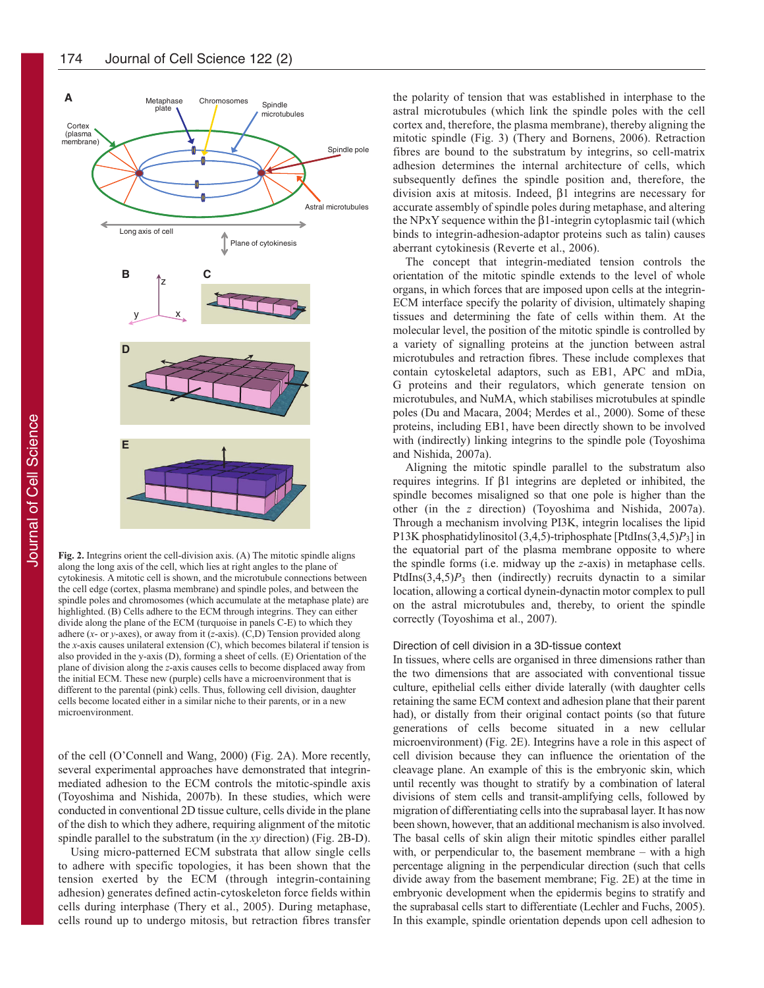

**Fig. 2.** Integrins orient the cell-division axis. (A) The mitotic spindle aligns along the long axis of the cell, which lies at right angles to the plane of cytokinesis. A mitotic cell is shown, and the microtubule connections between the cell edge (cortex, plasma membrane) and spindle poles, and between the spindle poles and chromosomes (which accumulate at the metaphase plate) are highlighted. (B) Cells adhere to the ECM through integrins. They can either divide along the plane of the ECM (turquoise in panels C-E) to which they adhere (*x*- or *y*-axes), or away from it (*z*-axis). (C,D) Tension provided along the *x*-axis causes unilateral extension (C), which becomes bilateral if tension is also provided in the y-axis (D), forming a sheet of cells. (E) Orientation of the plane of division along the *z*-axis causes cells to become displaced away from the initial ECM. These new (purple) cells have a microenvironment that is different to the parental (pink) cells. Thus, following cell division, daughter cells become located either in a similar niche to their parents, or in a new microenvironment.

of the cell (O'Connell and Wang, 2000) (Fig. 2A). More recently, several experimental approaches have demonstrated that integrinmediated adhesion to the ECM controls the mitotic-spindle axis (Toyoshima and Nishida, 2007b). In these studies, which were conducted in conventional 2D tissue culture, cells divide in the plane of the dish to which they adhere, requiring alignment of the mitotic spindle parallel to the substratum (in the *xy* direction) (Fig. 2B-D).

Using micro-patterned ECM substrata that allow single cells to adhere with specific topologies, it has been shown that the tension exerted by the ECM (through integrin-containing adhesion) generates defined actin-cytoskeleton force fields within cells during interphase (Thery et al., 2005). During metaphase, cells round up to undergo mitosis, but retraction fibres transfer the polarity of tension that was established in interphase to the astral microtubules (which link the spindle poles with the cell cortex and, therefore, the plasma membrane), thereby aligning the mitotic spindle (Fig. 3) (Thery and Bornens, 2006). Retraction fibres are bound to the substratum by integrins, so cell-matrix adhesion determines the internal architecture of cells, which subsequently defines the spindle position and, therefore, the division axis at mitosis. Indeed, β1 integrins are necessary for accurate assembly of spindle poles during metaphase, and altering the NPxY sequence within the β1-integrin cytoplasmic tail (which binds to integrin-adhesion-adaptor proteins such as talin) causes aberrant cytokinesis (Reverte et al., 2006).

The concept that integrin-mediated tension controls the orientation of the mitotic spindle extends to the level of whole organs, in which forces that are imposed upon cells at the integrin-ECM interface specify the polarity of division, ultimately shaping tissues and determining the fate of cells within them. At the molecular level, the position of the mitotic spindle is controlled by a variety of signalling proteins at the junction between astral microtubules and retraction fibres. These include complexes that contain cytoskeletal adaptors, such as EB1, APC and mDia, G proteins and their regulators, which generate tension on microtubules, and NuMA, which stabilises microtubules at spindle poles (Du and Macara, 2004; Merdes et al., 2000). Some of these proteins, including EB1, have been directly shown to be involved with (indirectly) linking integrins to the spindle pole (Toyoshima and Nishida, 2007a).

Aligning the mitotic spindle parallel to the substratum also requires integrins. If β1 integrins are depleted or inhibited, the spindle becomes misaligned so that one pole is higher than the other (in the *z* direction) (Toyoshima and Nishida, 2007a). Through a mechanism involving PI3K, integrin localises the lipid P13K phosphatidylinositol (3,4,5)-triphosphate [PtdIns(3,4,5)*P*3] in the equatorial part of the plasma membrane opposite to where the spindle forms (i.e. midway up the *z*-axis) in metaphase cells. PtdIns $(3,4,5)P_3$  then (indirectly) recruits dynactin to a similar location, allowing a cortical dynein-dynactin motor complex to pull on the astral microtubules and, thereby, to orient the spindle correctly (Toyoshima et al., 2007).

#### Direction of cell division in a 3D-tissue context

In tissues, where cells are organised in three dimensions rather than the two dimensions that are associated with conventional tissue culture, epithelial cells either divide laterally (with daughter cells retaining the same ECM context and adhesion plane that their parent had), or distally from their original contact points (so that future generations of cells become situated in a new cellular microenvironment) (Fig. 2E). Integrins have a role in this aspect of cell division because they can influence the orientation of the cleavage plane. An example of this is the embryonic skin, which until recently was thought to stratify by a combination of lateral divisions of stem cells and transit-amplifying cells, followed by migration of differentiating cells into the suprabasal layer. It has now been shown, however, that an additional mechanism is also involved. The basal cells of skin align their mitotic spindles either parallel with, or perpendicular to, the basement membrane – with a high percentage aligning in the perpendicular direction (such that cells divide away from the basement membrane; Fig. 2E) at the time in embryonic development when the epidermis begins to stratify and the suprabasal cells start to differentiate (Lechler and Fuchs, 2005). In this example, spindle orientation depends upon cell adhesion to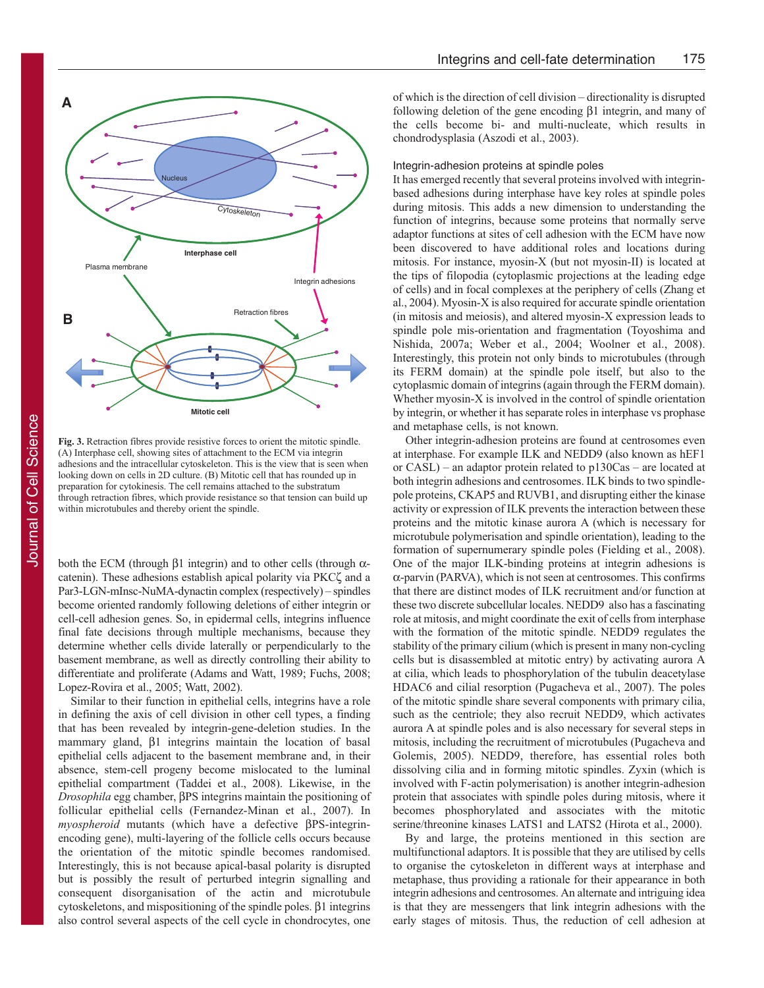

**Fig. 3.** Retraction fibres provide resistive forces to orient the mitotic spindle. (A) Interphase cell, showing sites of attachment to the ECM via integrin adhesions and the intracellular cytoskeleton. This is the view that is seen when looking down on cells in 2D culture. (B) Mitotic cell that has rounded up in preparation for cytokinesis. The cell remains attached to the substratum through retraction fibres, which provide resistance so that tension can build up within microtubules and thereby orient the spindle.

both the ECM (through β1 integrin) and to other cells (through  $α$ catenin). These adhesions establish apical polarity via PKCζ and a Par3-LGN-mInsc-NuMA-dynactin complex (respectively) – spindles become oriented randomly following deletions of either integrin or cell-cell adhesion genes. So, in epidermal cells, integrins influence final fate decisions through multiple mechanisms, because they determine whether cells divide laterally or perpendicularly to the basement membrane, as well as directly controlling their ability to differentiate and proliferate (Adams and Watt, 1989; Fuchs, 2008; Lopez-Rovira et al., 2005; Watt, 2002).

Similar to their function in epithelial cells, integrins have a role in defining the axis of cell division in other cell types, a finding that has been revealed by integrin-gene-deletion studies. In the mammary gland, β1 integrins maintain the location of basal epithelial cells adjacent to the basement membrane and, in their absence, stem-cell progeny become mislocated to the luminal epithelial compartment (Taddei et al., 2008). Likewise, in the *Drosophila* egg chamber, βPS integrins maintain the positioning of follicular epithelial cells (Fernandez-Minan et al., 2007). In *myospheroid* mutants (which have a defective βPS-integrinencoding gene), multi-layering of the follicle cells occurs because the orientation of the mitotic spindle becomes randomised. Interestingly, this is not because apical-basal polarity is disrupted but is possibly the result of perturbed integrin signalling and consequent disorganisation of the actin and microtubule cytoskeletons, and mispositioning of the spindle poles. β1 integrins also control several aspects of the cell cycle in chondrocytes, one

of which is the direction of cell division – directionality is disrupted following deletion of the gene encoding β1 integrin, and many of the cells become bi- and multi-nucleate, which results in chondrodysplasia (Aszodi et al., 2003).

#### Integrin-adhesion proteins at spindle poles

It has emerged recently that several proteins involved with integrinbased adhesions during interphase have key roles at spindle poles during mitosis. This adds a new dimension to understanding the function of integrins, because some proteins that normally serve adaptor functions at sites of cell adhesion with the ECM have now been discovered to have additional roles and locations during mitosis. For instance, myosin-X (but not myosin-II) is located at the tips of filopodia (cytoplasmic projections at the leading edge of cells) and in focal complexes at the periphery of cells (Zhang et al., 2004). Myosin-X is also required for accurate spindle orientation (in mitosis and meiosis), and altered myosin-X expression leads to spindle pole mis-orientation and fragmentation (Toyoshima and Nishida, 2007a; Weber et al., 2004; Woolner et al., 2008). Interestingly, this protein not only binds to microtubules (through its FERM domain) at the spindle pole itself, but also to the cytoplasmic domain of integrins (again through the FERM domain). Whether myosin-X is involved in the control of spindle orientation by integrin, or whether it has separate roles in interphase vs prophase and metaphase cells, is not known.

Other integrin-adhesion proteins are found at centrosomes even at interphase. For example ILK and NEDD9 (also known as hEF1 or CASL) – an adaptor protein related to p130Cas – are located at both integrin adhesions and centrosomes. ILK binds to two spindlepole proteins, CKAP5 and RUVB1, and disrupting either the kinase activity or expression of ILK prevents the interaction between these proteins and the mitotic kinase aurora A (which is necessary for microtubule polymerisation and spindle orientation), leading to the formation of supernumerary spindle poles (Fielding et al., 2008). One of the major ILK-binding proteins at integrin adhesions is α-parvin (PARVA), which is not seen at centrosomes. This confirms that there are distinct modes of ILK recruitment and/or function at these two discrete subcellular locales. NEDD9 also has a fascinating role at mitosis, and might coordinate the exit of cells from interphase with the formation of the mitotic spindle. NEDD9 regulates the stability of the primary cilium (which is present in many non-cycling cells but is disassembled at mitotic entry) by activating aurora A at cilia, which leads to phosphorylation of the tubulin deacetylase HDAC6 and cilial resorption (Pugacheva et al., 2007). The poles of the mitotic spindle share several components with primary cilia, such as the centriole; they also recruit NEDD9, which activates aurora A at spindle poles and is also necessary for several steps in mitosis, including the recruitment of microtubules (Pugacheva and Golemis, 2005). NEDD9, therefore, has essential roles both dissolving cilia and in forming mitotic spindles. Zyxin (which is involved with F-actin polymerisation) is another integrin-adhesion protein that associates with spindle poles during mitosis, where it becomes phosphorylated and associates with the mitotic serine/threonine kinases LATS1 and LATS2 (Hirota et al., 2000).

By and large, the proteins mentioned in this section are multifunctional adaptors. It is possible that they are utilised by cells to organise the cytoskeleton in different ways at interphase and metaphase, thus providing a rationale for their appearance in both integrin adhesions and centrosomes. An alternate and intriguing idea is that they are messengers that link integrin adhesions with the early stages of mitosis. Thus, the reduction of cell adhesion at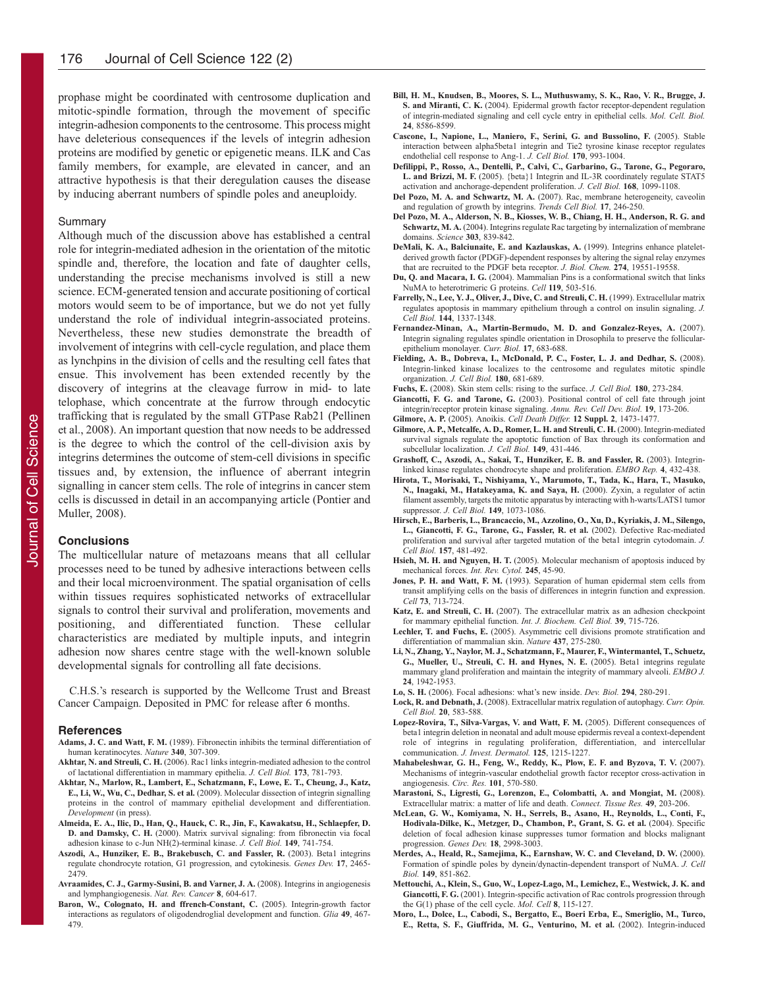prophase might be coordinated with centrosome duplication and mitotic-spindle formation, through the movement of specific integrin-adhesion components to the centrosome. This process might have deleterious consequences if the levels of integrin adhesion proteins are modified by genetic or epigenetic means. ILK and Cas family members, for example, are elevated in cancer, and an attractive hypothesis is that their deregulation causes the disease by inducing aberrant numbers of spindle poles and aneuploidy.

#### Summary

Although much of the discussion above has established a central role for integrin-mediated adhesion in the orientation of the mitotic spindle and, therefore, the location and fate of daughter cells, understanding the precise mechanisms involved is still a new science. ECM-generated tension and accurate positioning of cortical motors would seem to be of importance, but we do not yet fully understand the role of individual integrin-associated proteins. Nevertheless, these new studies demonstrate the breadth of involvement of integrins with cell-cycle regulation, and place them as lynchpins in the division of cells and the resulting cell fates that ensue. This involvement has been extended recently by the discovery of integrins at the cleavage furrow in mid- to late telophase, which concentrate at the furrow through endocytic trafficking that is regulated by the small GTPase Rab21 (Pellinen et al., 2008). An important question that now needs to be addressed is the degree to which the control of the cell-division axis by integrins determines the outcome of stem-cell divisions in specific tissues and, by extension, the influence of aberrant integrin signalling in cancer stem cells. The role of integrins in cancer stem cells is discussed in detail in an accompanying article (Pontier and Muller, 2008).

# **Conclusions**

The multicellular nature of metazoans means that all cellular processes need to be tuned by adhesive interactions between cells and their local microenvironment. The spatial organisation of cells within tissues requires sophisticated networks of extracellular signals to control their survival and proliferation, movements and positioning, and differentiated function. These cellular characteristics are mediated by multiple inputs, and integrin adhesion now shares centre stage with the well-known soluble developmental signals for controlling all fate decisions.

C.H.S.'s research is supported by the Wellcome Trust and Breast Cancer Campaign. Deposited in PMC for release after 6 months.

#### **References**

- **Adams, J. C. and Watt, F. M.** (1989). Fibronectin inhibits the terminal differentiation of human keratinocytes. *Nature* **340**, 307-309.
- **Akhtar, N. and Streuli, C. H.** (2006). Rac1 links integrin-mediated adhesion to the control of lactational differentiation in mammary epithelia. *J. Cell Biol.* **173**, 781-793.
- **Akhtar, N., Marlow, R., Lambert, E., Schatzmann, F., Lowe, E. T., Cheung, J., Katz, E., Li, W., Wu, C., Dedhar, S. et al.** (2009). Molecular dissection of integrin signalling proteins in the control of mammary epithelial development and differentiation. *Development* (in press).
- **Almeida, E. A., Ilic, D., Han, Q., Hauck, C. R., Jin, F., Kawakatsu, H., Schlaepfer, D. D. and Damsky, C. H.** (2000). Matrix survival signaling: from fibronectin via focal adhesion kinase to c-Jun NH(2)-terminal kinase. *J. Cell Biol.* **149**, 741-754.
- **Aszodi, A., Hunziker, E. B., Brakebusch, C. and Fassler, R.** (2003). Beta1 integrins regulate chondrocyte rotation, G1 progression, and cytokinesis. *Genes Dev.* **17**, 2465- 2479.
- **Avraamides, C. J., Garmy-Susini, B. and Varner, J. A.** (2008). Integrins in angiogenesis and lymphangiogenesis. *Nat. Rev. Cancer* **8**, 604-617.
- **Baron, W., Colognato, H. and ffrench-Constant, C.** (2005). Integrin-growth factor interactions as regulators of oligodendroglial development and function. *Glia* **49**, 467- 479.
- **Bill, H. M., Knudsen, B., Moores, S. L., Muthuswamy, S. K., Rao, V. R., Brugge, J. S. and Miranti, C. K.** (2004). Epidermal growth factor receptor-dependent regulation of integrin-mediated signaling and cell cycle entry in epithelial cells. *Mol. Cell. Biol.* **24**, 8586-8599.
- **Cascone, I., Napione, L., Maniero, F., Serini, G. and Bussolino, F.** (2005). Stable interaction between alpha5beta1 integrin and Tie2 tyrosine kinase receptor regulates endothelial cell response to Ang-1. *J. Cell Biol.* **170**, 993-1004.
- **Defilippi, P., Rosso, A., Dentelli, P., Calvi, C., Garbarino, G., Tarone, G., Pegoraro, L. and Brizzi, M. F.** (2005). {beta}1 Integrin and IL-3R coordinately regulate STAT5 activation and anchorage-dependent proliferation. *J. Cell Biol.* **168**, 1099-1108.
- **Del Pozo, M. A. and Schwartz, M. A.** (2007). Rac, membrane heterogeneity, caveolin and regulation of growth by integrins. *Trends Cell Biol.* **17**, 246-250.
- **Del Pozo, M. A., Alderson, N. B., Kiosses, W. B., Chiang, H. H., Anderson, R. G. and Schwartz, M. A.** (2004). Integrins regulate Rac targeting by internalization of membrane domains. *Science* **303**, 839-842.
- **DeMali, K. A., Balciunaite, E. and Kazlauskas, A.** (1999). Integrins enhance plateletderived growth factor (PDGF)-dependent responses by altering the signal relay enzymes that are recruited to the PDGF beta receptor. *J. Biol. Chem.* **274**, 19551-19558.
- **Du, Q. and Macara, I. G.** (2004). Mammalian Pins is a conformational switch that links NuMA to heterotrimeric G proteins. *Cell* **119**, 503-516.
- **Farrelly, N., Lee, Y. J., Oliver, J., Dive, C. and Streuli, C. H.** (1999). Extracellular matrix regulates apoptosis in mammary epithelium through a control on insulin signaling. *J. Cell Biol.* **144**, 1337-1348.
- **Fernandez-Minan, A., Martin-Bermudo, M. D. and Gonzalez-Reyes, A.** (2007). Integrin signaling regulates spindle orientation in Drosophila to preserve the follicularepithelium monolayer. *Curr. Biol.* **17**, 683-688.
- **Fielding, A. B., Dobreva, I., McDonald, P. C., Foster, L. J. and Dedhar, S.** (2008). Integrin-linked kinase localizes to the centrosome and regulates mitotic spindle organization. *J. Cell Biol.* **180**, 681-689.
- **Fuchs, E.** (2008). Skin stem cells: rising to the surface. *J. Cell Biol.* **180**, 273-284.
- **Giancotti, F. G. and Tarone, G.** (2003). Positional control of cell fate through joint integrin/receptor protein kinase signaling. *Annu. Rev. Cell Dev. Biol.* **19**, 173-206.
- **Gilmore, A. P.** (2005). Anoikis. *Cell Death Differ.* **12 Suppl. 2**, 1473-1477.
- **Gilmore, A. P., Metcalfe, A. D., Romer, L. H. and Streuli, C. H.** (2000). Integrin-mediated survival signals regulate the apoptotic function of Bax through its conformation and subcellular localization. *J. Cell Biol.* **149**, 431-446.
- **Grashoff, C., Aszodi, A., Sakai, T., Hunziker, E. B. and Fassler, R.** (2003). Integrinlinked kinase regulates chondrocyte shape and proliferation. *EMBO Rep.* **4**, 432-438.
- **Hirota, T., Morisaki, T., Nishiyama, Y., Marumoto, T., Tada, K., Hara, T., Masuko, N., Inagaki, M., Hatakeyama, K. and Saya, H.** (2000). Zyxin, a regulator of actin filament assembly, targets the mitotic apparatus by interacting with h-warts/LATS1 tumor suppressor. *J. Cell Biol.* **149**, 1073-1086.
- **Hirsch, E., Barberis, L., Brancaccio, M., Azzolino, O., Xu, D., Kyriakis, J. M., Silengo, L., Giancotti, F. G., Tarone, G., Fassler, R. et al.** (2002). Defective Rac-mediated proliferation and survival after targeted mutation of the beta1 integrin cytodomain. *J. Cell Biol.* **157**, 481-492.
- **Hsieh, M. H. and Nguyen, H. T.** (2005). Molecular mechanism of apoptosis induced by mechanical forces. *Int. Rev. Cytol.* **245**, 45-90.
- **Jones, P. H. and Watt, F. M.** (1993). Separation of human epidermal stem cells from transit amplifying cells on the basis of differences in integrin function and expression. *Cell* **73**, 713-724.
- Katz, E. and Streuli, C. H. (2007). The extracellular matrix as an adhesion checkpoint for mammary epithelial function. *Int. J. Biochem. Cell Biol.* **39**, 715-726.
- **Lechler, T. and Fuchs, E.** (2005). Asymmetric cell divisions promote stratification and differentiation of mammalian skin. *Nature* **437**, 275-280.
- **Li, N., Zhang, Y., Naylor, M. J., Schatzmann, F., Maurer, F., Wintermantel, T., Schuetz, G., Mueller, U., Streuli, C. H. and Hynes, N. E.** (2005). Beta1 integrins regulate mammary gland proliferation and maintain the integrity of mammary alveoli. *EMBO J.* **24**, 1942-1953.
- **Lo, S. H.** (2006). Focal adhesions: what's new inside. *Dev. Biol.* **294**, 280-291.
- **Lock, R. and Debnath, J.** (2008). Extracellular matrix regulation of autophagy. *Curr. Opin. Cell Biol.* **20**, 583-588.
- **Lopez-Rovira, T., Silva-Vargas, V. and Watt, F. M.** (2005). Different consequences of beta1 integrin deletion in neonatal and adult mouse epidermis reveal a context-dependent role of integrins in regulating proliferation, differentiation, and intercellular communication. *J. Invest. Dermatol.* **125**, 1215-1227.
- **Mahabeleshwar, G. H., Feng, W., Reddy, K., Plow, E. F. and Byzova, T. V.** (2007). Mechanisms of integrin-vascular endothelial growth factor receptor cross-activation in angiogenesis. *Circ. Res.* **101**, 570-580.
- **Marastoni, S., Ligresti, G., Lorenzon, E., Colombatti, A. and Mongiat, M.** (2008). Extracellular matrix: a matter of life and death. *Connect. Tissue Res.* **49**, 203-206.
- **McLean, G. W., Komiyama, N. H., Serrels, B., Asano, H., Reynolds, L., Conti, F., Hodivala-Dilke, K., Metzger, D., Chambon, P., Grant, S. G. et al.** (2004). Specific deletion of focal adhesion kinase suppresses tumor formation and blocks malignant progression. *Genes Dev.* **18**, 2998-3003.
- **Merdes, A., Heald, R., Samejima, K., Earnshaw, W. C. and Cleveland, D. W.** (2000). Formation of spindle poles by dynein/dynactin-dependent transport of NuMA. *J. Cell Biol.* **149**, 851-862.
- **Mettouchi, A., Klein, S., Guo, W., Lopez-Lago, M., Lemichez, E., Westwick, J. K. and Giancotti, F. G.** (2001). Integrin-specific activation of Rac controls progression through the G(1) phase of the cell cycle. *Mol. Cell* **8**, 115-127.
- **Moro, L., Dolce, L., Cabodi, S., Bergatto, E., Boeri Erba, E., Smeriglio, M., Turco, E., Retta, S. F., Giuffrida, M. G., Venturino, M. et al.** (2002). Integrin-induced